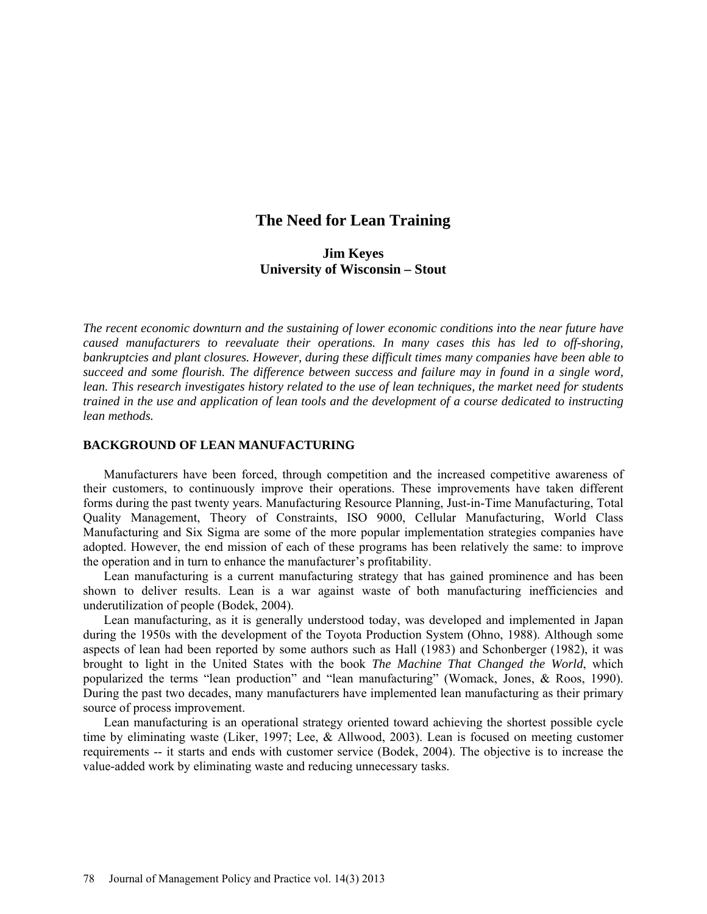# **The Need for Lean Training**

# **Jim Keyes University of Wisconsin – Stout**

*The recent economic downturn and the sustaining of lower economic conditions into the near future have caused manufacturers to reevaluate their operations. In many cases this has led to off-shoring, bankruptcies and plant closures. However, during these difficult times many companies have been able to succeed and some flourish. The difference between success and failure may in found in a single word, lean. This research investigates history related to the use of lean techniques, the market need for students trained in the use and application of lean tools and the development of a course dedicated to instructing lean methods.*

#### **BACKGROUND OF LEAN MANUFACTURING**

Manufacturers have been forced, through competition and the increased competitive awareness of their customers, to continuously improve their operations. These improvements have taken different forms during the past twenty years. Manufacturing Resource Planning, Just-in-Time Manufacturing, Total Quality Management, Theory of Constraints, ISO 9000, Cellular Manufacturing, World Class Manufacturing and Six Sigma are some of the more popular implementation strategies companies have adopted. However, the end mission of each of these programs has been relatively the same: to improve the operation and in turn to enhance the manufacturer's profitability.

Lean manufacturing is a current manufacturing strategy that has gained prominence and has been shown to deliver results. Lean is a war against waste of both manufacturing inefficiencies and underutilization of people (Bodek, 2004).

Lean manufacturing, as it is generally understood today, was developed and implemented in Japan during the 1950s with the development of the Toyota Production System (Ohno, 1988). Although some aspects of lean had been reported by some authors such as Hall (1983) and Schonberger (1982), it was brought to light in the United States with the book *The Machine That Changed the World*, which popularized the terms "lean production" and "lean manufacturing" (Womack, Jones, & Roos, 1990). During the past two decades, many manufacturers have implemented lean manufacturing as their primary source of process improvement.

Lean manufacturing is an operational strategy oriented toward achieving the shortest possible cycle time by eliminating waste (Liker, 1997; Lee, & Allwood, 2003). Lean is focused on meeting customer requirements -- it starts and ends with customer service (Bodek, 2004). The objective is to increase the value-added work by eliminating waste and reducing unnecessary tasks.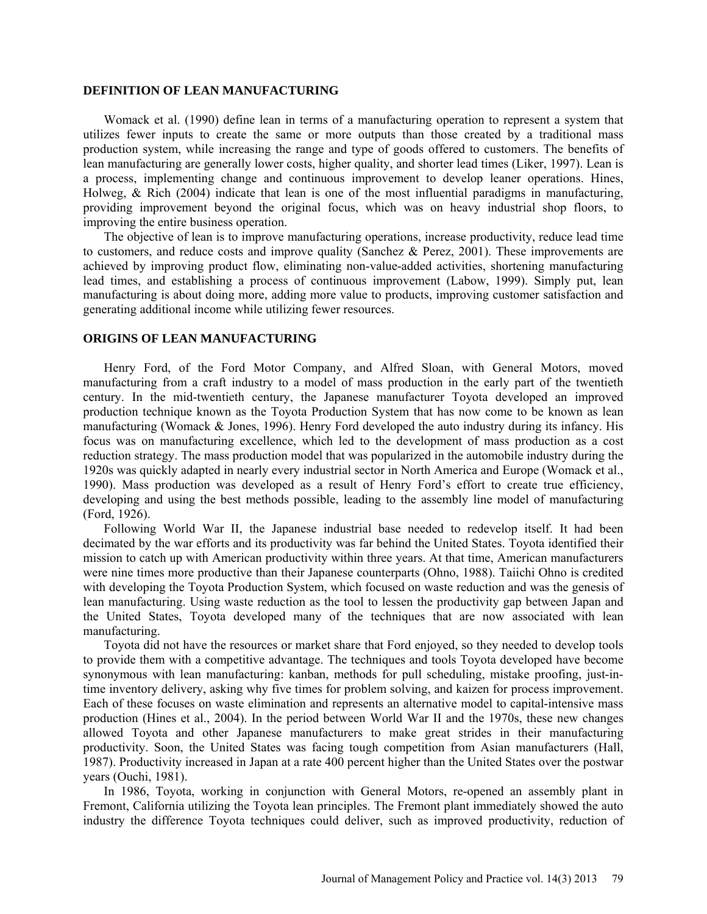#### **DEFINITION OF LEAN MANUFACTURING**

Womack et al. (1990) define lean in terms of a manufacturing operation to represent a system that utilizes fewer inputs to create the same or more outputs than those created by a traditional mass production system, while increasing the range and type of goods offered to customers. The benefits of lean manufacturing are generally lower costs, higher quality, and shorter lead times (Liker, 1997). Lean is a process, implementing change and continuous improvement to develop leaner operations. Hines, Holweg, & Rich (2004) indicate that lean is one of the most influential paradigms in manufacturing, providing improvement beyond the original focus, which was on heavy industrial shop floors, to improving the entire business operation.

The objective of lean is to improve manufacturing operations, increase productivity, reduce lead time to customers, and reduce costs and improve quality (Sanchez & Perez, 2001). These improvements are achieved by improving product flow, eliminating non-value-added activities, shortening manufacturing lead times, and establishing a process of continuous improvement (Labow, 1999). Simply put, lean manufacturing is about doing more, adding more value to products, improving customer satisfaction and generating additional income while utilizing fewer resources.

### **ORIGINS OF LEAN MANUFACTURING**

Henry Ford, of the Ford Motor Company, and Alfred Sloan, with General Motors, moved manufacturing from a craft industry to a model of mass production in the early part of the twentieth century. In the mid-twentieth century, the Japanese manufacturer Toyota developed an improved production technique known as the Toyota Production System that has now come to be known as lean manufacturing (Womack & Jones, 1996). Henry Ford developed the auto industry during its infancy. His focus was on manufacturing excellence, which led to the development of mass production as a cost reduction strategy. The mass production model that was popularized in the automobile industry during the 1920s was quickly adapted in nearly every industrial sector in North America and Europe (Womack et al., 1990). Mass production was developed as a result of Henry Ford's effort to create true efficiency, developing and using the best methods possible, leading to the assembly line model of manufacturing (Ford, 1926).

Following World War II, the Japanese industrial base needed to redevelop itself. It had been decimated by the war efforts and its productivity was far behind the United States. Toyota identified their mission to catch up with American productivity within three years. At that time, American manufacturers were nine times more productive than their Japanese counterparts (Ohno, 1988). Taiichi Ohno is credited with developing the Toyota Production System, which focused on waste reduction and was the genesis of lean manufacturing. Using waste reduction as the tool to lessen the productivity gap between Japan and the United States, Toyota developed many of the techniques that are now associated with lean manufacturing.

Toyota did not have the resources or market share that Ford enjoyed, so they needed to develop tools to provide them with a competitive advantage. The techniques and tools Toyota developed have become synonymous with lean manufacturing: kanban, methods for pull scheduling, mistake proofing, just-intime inventory delivery, asking why five times for problem solving, and kaizen for process improvement. Each of these focuses on waste elimination and represents an alternative model to capital-intensive mass production (Hines et al., 2004). In the period between World War II and the 1970s, these new changes allowed Toyota and other Japanese manufacturers to make great strides in their manufacturing productivity. Soon, the United States was facing tough competition from Asian manufacturers (Hall, 1987). Productivity increased in Japan at a rate 400 percent higher than the United States over the postwar years (Ouchi, 1981).

In 1986, Toyota, working in conjunction with General Motors, re-opened an assembly plant in Fremont, California utilizing the Toyota lean principles. The Fremont plant immediately showed the auto industry the difference Toyota techniques could deliver, such as improved productivity, reduction of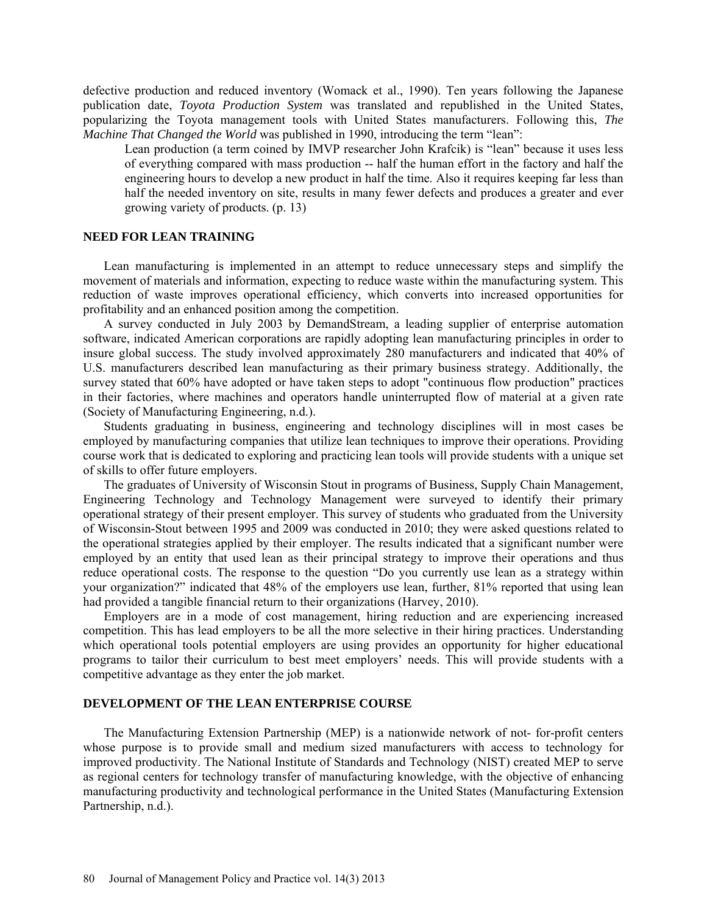defective production and reduced inventory (Womack et al., 1990). Ten years following the Japanese publication date, *Toyota Production System* was translated and republished in the United States, popularizing the Toyota management tools with United States manufacturers. Following this, *The Machine That Changed the World* was published in 1990, introducing the term "lean":

Lean production (a term coined by IMVP researcher John Krafcik) is "lean" because it uses less of everything compared with mass production -- half the human effort in the factory and half the engineering hours to develop a new product in half the time. Also it requires keeping far less than half the needed inventory on site, results in many fewer defects and produces a greater and ever growing variety of products. (p. 13)

### **NEED FOR LEAN TRAINING**

Lean manufacturing is implemented in an attempt to reduce unnecessary steps and simplify the movement of materials and information, expecting to reduce waste within the manufacturing system. This reduction of waste improves operational efficiency, which converts into increased opportunities for profitability and an enhanced position among the competition.

A survey conducted in July 2003 by DemandStream, a leading supplier of enterprise automation software, indicated American corporations are rapidly adopting lean manufacturing principles in order to insure global success. The study involved approximately 280 manufacturers and indicated that 40% of U.S. manufacturers described lean manufacturing as their primary business strategy. Additionally, the survey stated that 60% have adopted or have taken steps to adopt "continuous flow production" practices in their factories, where machines and operators handle uninterrupted flow of material at a given rate (Society of Manufacturing Engineering, n.d.).

Students graduating in business, engineering and technology disciplines will in most cases be employed by manufacturing companies that utilize lean techniques to improve their operations. Providing course work that is dedicated to exploring and practicing lean tools will provide students with a unique set of skills to offer future employers.

The graduates of University of Wisconsin Stout in programs of Business, Supply Chain Management, Engineering Technology and Technology Management were surveyed to identify their primary operational strategy of their present employer. This survey of students who graduated from the University of Wisconsin-Stout between 1995 and 2009 was conducted in 2010; they were asked questions related to the operational strategies applied by their employer. The results indicated that a significant number were employed by an entity that used lean as their principal strategy to improve their operations and thus reduce operational costs. The response to the question "Do you currently use lean as a strategy within your organization?" indicated that 48% of the employers use lean, further, 81% reported that using lean had provided a tangible financial return to their organizations (Harvey, 2010).

Employers are in a mode of cost management, hiring reduction and are experiencing increased competition. This has lead employers to be all the more selective in their hiring practices. Understanding which operational tools potential employers are using provides an opportunity for higher educational programs to tailor their curriculum to best meet employers' needs. This will provide students with a competitive advantage as they enter the job market.

# **DEVELOPMENT OF THE LEAN ENTERPRISE COURSE**

The Manufacturing Extension Partnership (MEP) is a nationwide network of not- for-profit centers whose purpose is to provide small and medium sized manufacturers with access to technology for improved productivity. The National Institute of Standards and Technology (NIST) created MEP to serve as regional centers for technology transfer of manufacturing knowledge, with the objective of enhancing manufacturing productivity and technological performance in the United States (Manufacturing Extension Partnership, n.d.).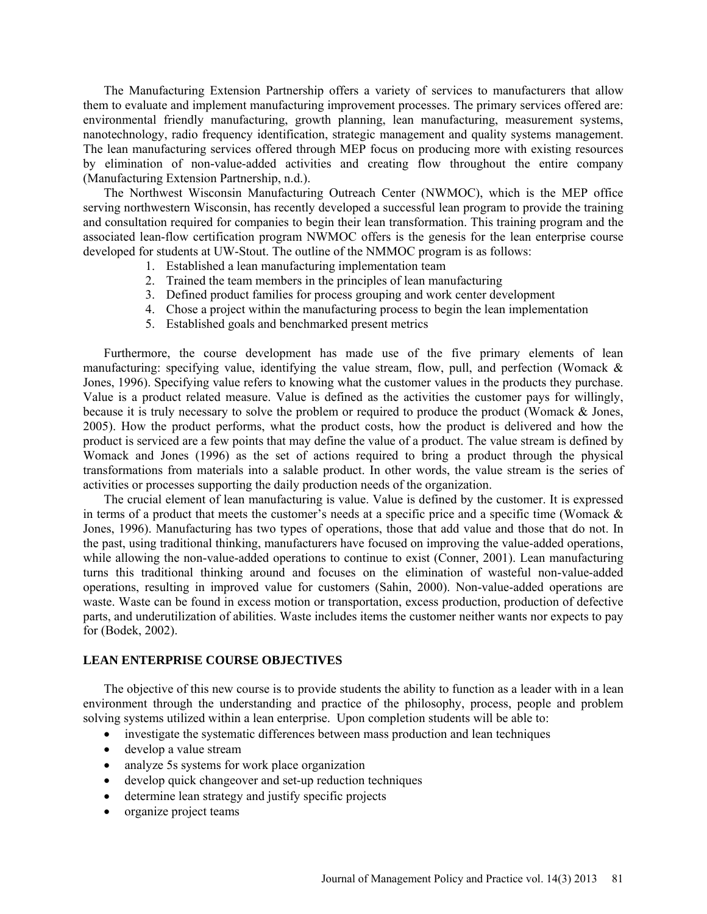The Manufacturing Extension Partnership offers a variety of services to manufacturers that allow them to evaluate and implement manufacturing improvement processes. The primary services offered are: environmental friendly manufacturing, growth planning, lean manufacturing, measurement systems, nanotechnology, radio frequency identification, strategic management and quality systems management. The lean manufacturing services offered through MEP focus on producing more with existing resources by elimination of non-value-added activities and creating flow throughout the entire company (Manufacturing Extension Partnership, n.d.).

The Northwest Wisconsin Manufacturing Outreach Center (NWMOC), which is the MEP office serving northwestern Wisconsin, has recently developed a successful lean program to provide the training and consultation required for companies to begin their lean transformation. This training program and the associated lean-flow certification program NWMOC offers is the genesis for the lean enterprise course developed for students at UW-Stout. The outline of the NMMOC program is as follows:

- 1. Established a lean manufacturing implementation team
- 2. Trained the team members in the principles of lean manufacturing
- 3. Defined product families for process grouping and work center development
- 4. Chose a project within the manufacturing process to begin the lean implementation
- 5. Established goals and benchmarked present metrics

Furthermore, the course development has made use of the five primary elements of lean manufacturing: specifying value, identifying the value stream, flow, pull, and perfection (Womack  $\&$ Jones, 1996). Specifying value refers to knowing what the customer values in the products they purchase. Value is a product related measure. Value is defined as the activities the customer pays for willingly, because it is truly necessary to solve the problem or required to produce the product (Womack & Jones, 2005). How the product performs, what the product costs, how the product is delivered and how the product is serviced are a few points that may define the value of a product. The value stream is defined by Womack and Jones (1996) as the set of actions required to bring a product through the physical transformations from materials into a salable product. In other words, the value stream is the series of activities or processes supporting the daily production needs of the organization.

The crucial element of lean manufacturing is value. Value is defined by the customer. It is expressed in terms of a product that meets the customer's needs at a specific price and a specific time (Womack & Jones, 1996). Manufacturing has two types of operations, those that add value and those that do not. In the past, using traditional thinking, manufacturers have focused on improving the value-added operations, while allowing the non-value-added operations to continue to exist (Conner, 2001). Lean manufacturing turns this traditional thinking around and focuses on the elimination of wasteful non-value-added operations, resulting in improved value for customers (Sahin, 2000). Non-value-added operations are waste. Waste can be found in excess motion or transportation, excess production, production of defective parts, and underutilization of abilities. Waste includes items the customer neither wants nor expects to pay for (Bodek, 2002).

### **LEAN ENTERPRISE COURSE OBJECTIVES**

The objective of this new course is to provide students the ability to function as a leader with in a lean environment through the understanding and practice of the philosophy, process, people and problem solving systems utilized within a lean enterprise. Upon completion students will be able to:

- investigate the systematic differences between mass production and lean techniques
- develop a value stream
- analyze 5s systems for work place organization
- develop quick changeover and set-up reduction techniques
- determine lean strategy and justify specific projects
- organize project teams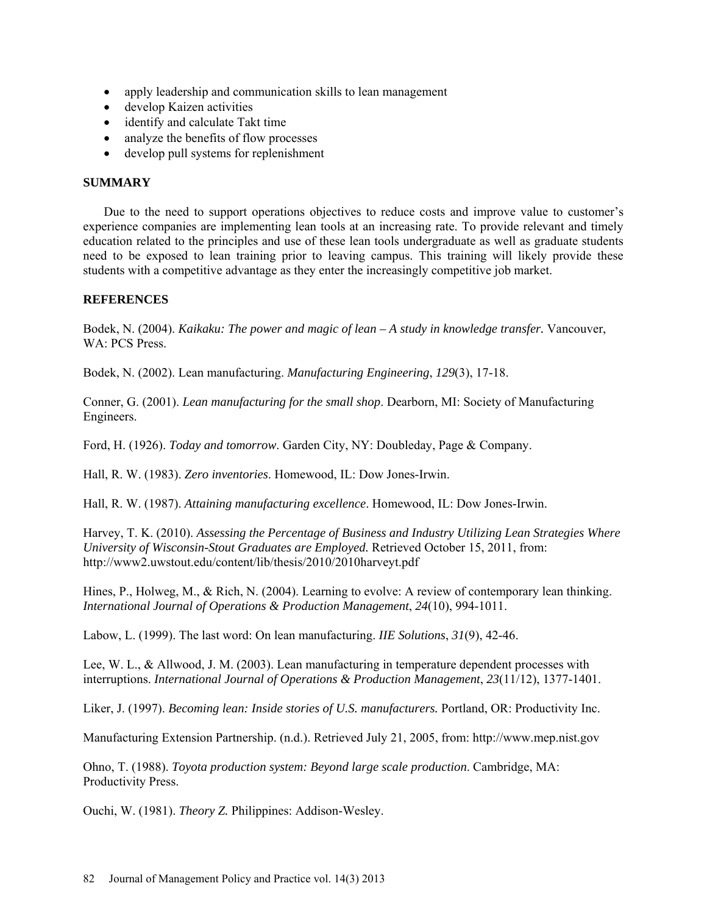- apply leadership and communication skills to lean management
- develop Kaizen activities
- identify and calculate Takt time
- analyze the benefits of flow processes
- develop pull systems for replenishment

# **SUMMARY**

Due to the need to support operations objectives to reduce costs and improve value to customer's experience companies are implementing lean tools at an increasing rate. To provide relevant and timely education related to the principles and use of these lean tools undergraduate as well as graduate students need to be exposed to lean training prior to leaving campus. This training will likely provide these students with a competitive advantage as they enter the increasingly competitive job market.

# **REFERENCES**

Bodek, N. (2004). *Kaikaku: The power and magic of lean – A study in knowledge transfer.* Vancouver, WA: PCS Press.

Bodek, N. (2002). Lean manufacturing. *Manufacturing Engineering*, *129*(3), 17-18.

Conner, G. (2001). *Lean manufacturing for the small shop*. Dearborn, MI: Society of Manufacturing Engineers.

Ford, H. (1926). *Today and tomorrow*. Garden City, NY: Doubleday, Page & Company.

Hall, R. W. (1983). *Zero inventories*. Homewood, IL: Dow Jones-Irwin.

Hall, R. W. (1987). *Attaining manufacturing excellence*. Homewood, IL: Dow Jones-Irwin.

Harvey, T. K. (2010). *Assessing the Percentage of Business and Industry Utilizing Lean Strategies Where University of Wisconsin-Stout Graduates are Employed.* Retrieved October 15, 2011, from: <http://www2.uwstout.edu/content/lib/thesis/2010/2010harveyt.pdf>

Hines, P., Holweg, M., & Rich, N. (2004). Learning to evolve: A review of contemporary lean thinking. *International Journal of Operations & Production Management*, *24*(10), 994-1011.

Labow, L. (1999). The last word: On lean manufacturing. *IIE Solutions*, *31*(9), 42-46.

Lee, W. L., & Allwood, J. M. (2003). Lean manufacturing in temperature dependent processes with interruptions. *International Journal of Operations & Production Management*, *23*(11/12), 1377-1401.

Liker, J. (1997). *Becoming lean: Inside stories of U.S. manufacturers.* Portland, OR: Productivity Inc.

Manufacturing Extension Partnership. (n.d.). Retrieved July 21, 2005, from: [http://www.mep.nist.gov](http://www.mep.nist.gov/)

Ohno, T. (1988). *Toyota production system: Beyond large scale production*. Cambridge, MA: Productivity Press.

Ouchi, W. (1981). *Theory Z.* Philippines: Addison-Wesley.